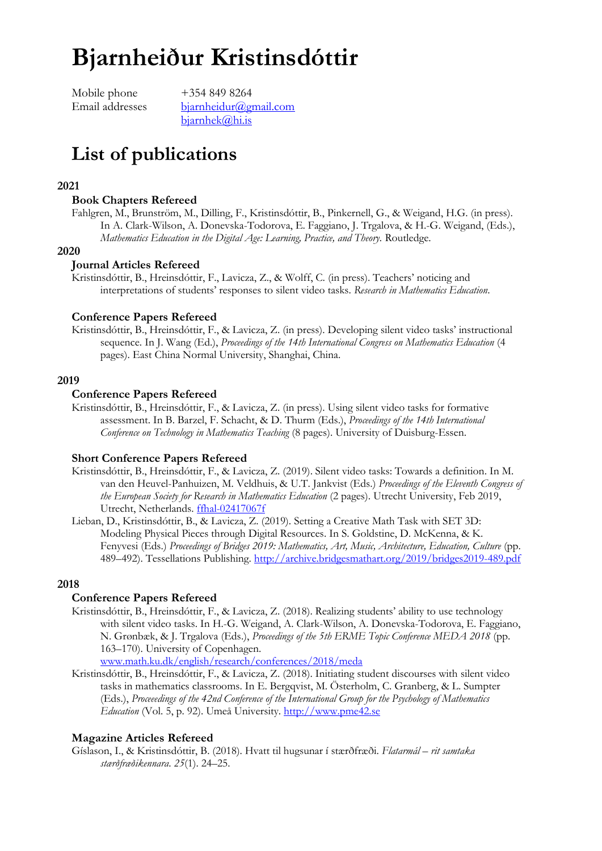# **Bjarnheiður Kristinsdóttir**

Mobile phone +354 849 8264

Email addresses [bjarnheidur@gmail.com](mailto:bjarnheidur.kristinsdottir@cpe.com) bjarnhek@hi.is

# **List of publications**

#### **2021**

#### **Book Chapters Refereed**

Fahlgren, M., Brunström, M., Dilling, F., Kristinsdóttir, B., Pinkernell, G., & Weigand, H.G. (in press). In A. Clark-Wilson, A. Donevska-Todorova, E. Faggiano, J. Trgalova, & H.-G. Weigand, (Eds.), *Mathematics Education in the Digital Age: Learning, Practice, and Theory. Routledge.* 

#### **2020**

#### **Journal Articles Refereed**

Kristinsdóttir, B., Hreinsdóttir, F., Lavicza, Z., & Wolff, C. (in press). Teachers' noticing and interpretations of students' responses to silent video tasks. *Research in Mathematics Education*.

#### **Conference Papers Refereed**

Kristinsdóttir, B., Hreinsdóttir, F., & Lavicza, Z. (in press). Developing silent video tasks' instructional sequence. In J. Wang (Ed.), *Proceedings of the 14th International Congress on Mathematics Education* (4 pages). East China Normal University, Shanghai, China.

#### **2019**

#### **Conference Papers Refereed**

Kristinsdóttir, B., Hreinsdóttir, F., & Lavicza, Z. (in press). Using silent video tasks for formative assessment. In B. Barzel, F. Schacht, & D. Thurm (Eds.), *Proceedings of the 14th International Conference on Technology in Mathematics Teaching* (8 pages). University of Duisburg-Essen.

#### **Short Conference Papers Refereed**

- Kristinsdóttir, B., Hreinsdóttir, F., & Lavicza, Z. (2019). Silent video tasks: Towards a definition. In M. van den Heuvel-Panhuizen, M. Veldhuis, & U.T. Jankvist (Eds.) *Proceedings of the Eleventh Congress of the European Society for Research in Mathematics Education* (2 pages). Utrecht University, Feb 2019, Utrecht, Netherlands. [ffhal-02417067f](https://hal.archives-ouvertes.fr/hal-02417067/document)
- Lieban, D., Kristinsdóttir, B., & Lavicza, Z. (2019). Setting a Creative Math Task with SET 3D: Modeling Physical Pieces through Digital Resources. In S. Goldstine, D. McKenna, & K. Fenyvesi (Eds.) *Proceedings of Bridges 2019: Mathematics, Art, Music, Architecture, Education, Culture* (pp. 489–492). Tessellations Publishing.<http://archive.bridgesmathart.org/2019/bridges2019-489.pdf>

#### **2018**

#### **Conference Papers Refereed**

Kristinsdóttir, B., Hreinsdóttir, F., & Lavicza, Z. (2018). Realizing students' ability to use technology with silent video tasks. In H.-G. Weigand, A. Clark-Wilson, A. Donevska-Todorova, E. Faggiano, N. Grønbæk, & J. Trgalova (Eds.), *Proceedings of the 5th ERME Topic Conference MEDA 2018* (pp. 163–170). University of Copenhagen.

[www.math.ku.dk/english/research/conferences/2018/meda](http://www.math.ku.dk/english/research/conferences/2018/meda)

Kristinsdóttir, B., Hreinsdóttir, F., & Lavicza, Z. (2018). Initiating student discourses with silent video tasks in mathematics classrooms. In E. Bergqvist, M. Österholm, C. Granberg, & L. Sumpter (Eds.), *Proceeedings of the 42nd Conference of the International Group for the Psychology of Mathematics Education* (Vol. 5, p. 92). Umeå University. [http://www.pme42.se](http://www.pme42.se/)

#### **Magazine Articles Refereed**

Gíslason, I., & Kristinsdóttir, B. (2018). Hvatt til hugsunar í stærðfræði. *Flatarmál – rit samtaka stærðfræðikennara*. *25*(1). 24–25.